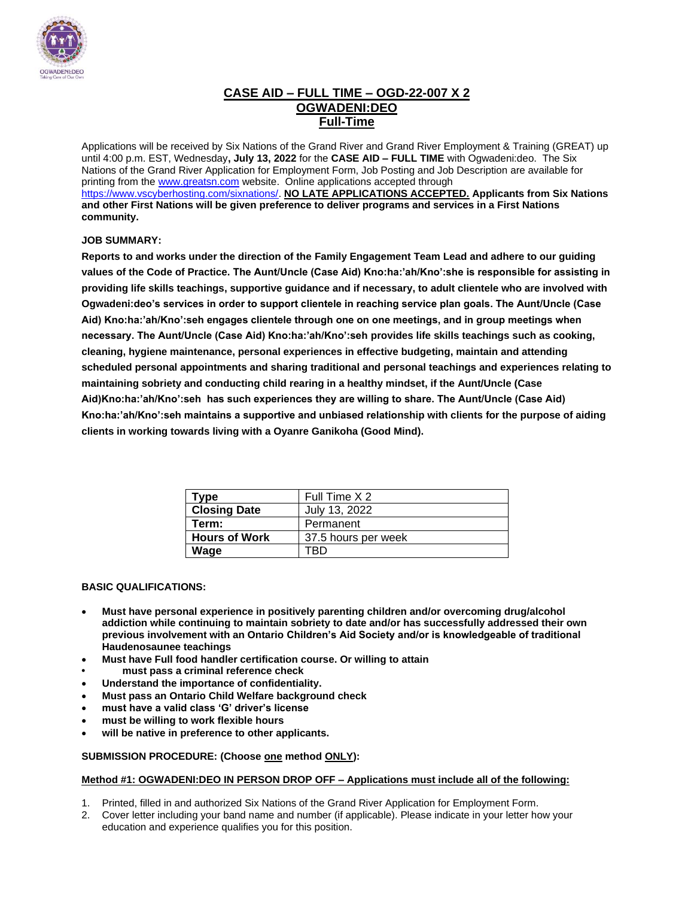

### **CASE AID – FULL TIME – OGD-22-007 X 2 OGWADENI:DEO Full-Time**

Applications will be received by Six Nations of the Grand River and Grand River Employment & Training (GREAT) up until 4:00 p.m. EST, Wednesday**, July 13, 2022** for the **CASE AID – FULL TIME** with Ogwadeni:deo. The Six Nations of the Grand River Application for Employment Form, Job Posting and Job Description are available for printing from th[e www.greatsn.com](http://www.greatsn.com/) website. Online applications accepted through [https://www.vscyberhosting.com/sixnations/.](https://www.vscyberhosting.com/sixnations/) **NO LATE APPLICATIONS ACCEPTED. Applicants from Six Nations and other First Nations will be given preference to deliver programs and services in a First Nations community.**

#### **JOB SUMMARY:**

**Reports to and works under the direction of the Family Engagement Team Lead and adhere to our guiding values of the Code of Practice. The Aunt/Uncle (Case Aid) Kno:ha:'ah/Kno':she is responsible for assisting in providing life skills teachings, supportive guidance and if necessary, to adult clientele who are involved with Ogwadeni:deo's services in order to support clientele in reaching service plan goals. The Aunt/Uncle (Case Aid) Kno:ha:'ah/Kno':seh engages clientele through one on one meetings, and in group meetings when necessary. The Aunt/Uncle (Case Aid) Kno:ha:'ah/Kno':seh provides life skills teachings such as cooking, cleaning, hygiene maintenance, personal experiences in effective budgeting, maintain and attending scheduled personal appointments and sharing traditional and personal teachings and experiences relating to maintaining sobriety and conducting child rearing in a healthy mindset, if the Aunt/Uncle (Case Aid)Kno:ha:'ah/Kno':seh has such experiences they are willing to share. The Aunt/Uncle (Case Aid) Kno:ha:'ah/Kno':seh maintains a supportive and unbiased relationship with clients for the purpose of aiding clients in working towards living with a Oyanre Ganikoha (Good Mind).** 

| Type                 | Full Time X 2       |
|----------------------|---------------------|
| <b>Closing Date</b>  | July 13, 2022       |
| Term:                | Permanent           |
| <b>Hours of Work</b> | 37.5 hours per week |
| Wage                 | TRD                 |

#### **BASIC QUALIFICATIONS:**

- **Must have personal experience in positively parenting children and/or overcoming drug/alcohol addiction while continuing to maintain sobriety to date and/or has successfully addressed their own previous involvement with an Ontario Children's Aid Society and/or is knowledgeable of traditional Haudenosaunee teachings**
- **Must have Full food handler certification course. Or willing to attain**
- **• must pass a criminal reference check**
- **Understand the importance of confidentiality.**
- **Must pass an Ontario Child Welfare background check**
- **must have a valid class 'G' driver's license**
- **must be willing to work flexible hours**
- **will be native in preference to other applicants.**

#### **SUBMISSION PROCEDURE: (Choose one method ONLY):**

#### **Method #1: OGWADENI:DEO IN PERSON DROP OFF – Applications must include all of the following:**

- 1. Printed, filled in and authorized Six Nations of the Grand River Application for Employment Form.
- 2. Cover letter including your band name and number (if applicable). Please indicate in your letter how your education and experience qualifies you for this position.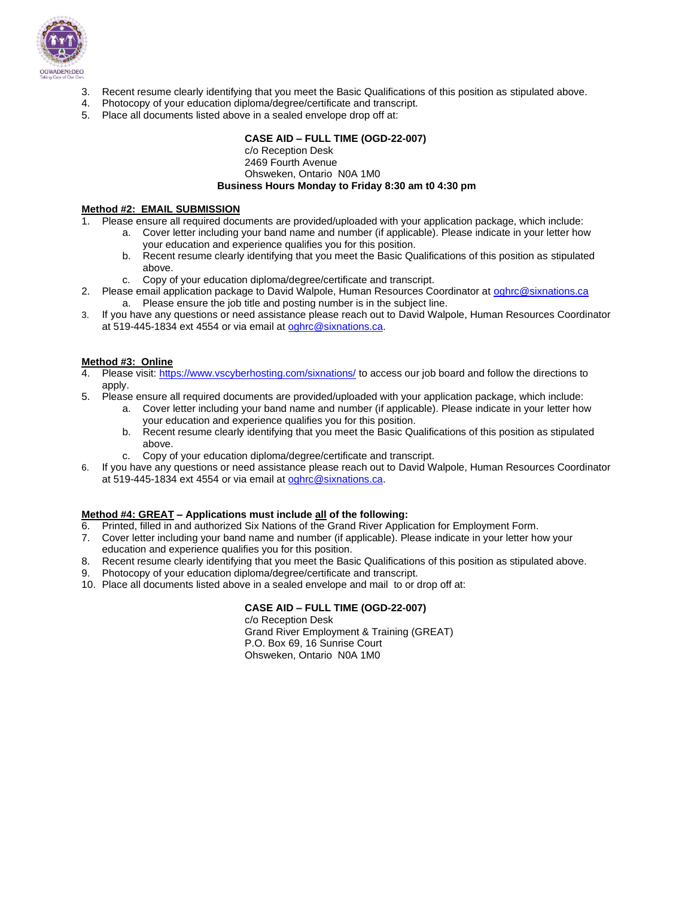

- 3. Recent resume clearly identifying that you meet the Basic Qualifications of this position as stipulated above.
- 4. Photocopy of your education diploma/degree/certificate and transcript.
- 5. Place all documents listed above in a sealed envelope drop off at:

#### **CASE AID – FULL TIME (OGD-22-007)**

#### c/o Reception Desk 2469 Fourth Avenue Ohsweken, Ontario N0A 1M0 **Business Hours Monday to Friday 8:30 am t0 4:30 pm**

#### **Method #2: EMAIL SUBMISSION**

1. Please ensure all required documents are provided/uploaded with your application package, which include:

- a. Cover letter including your band name and number (if applicable). Please indicate in your letter how your education and experience qualifies you for this position.
	- b. Recent resume clearly identifying that you meet the Basic Qualifications of this position as stipulated above.
	- c. Copy of your education diploma/degree/certificate and transcript.
- 2. Please email application package to David Walpole, Human Resources Coordinator at [oghrc@sixnations.ca](mailto:oghrc@sixnations.ca) a. Please ensure the job title and posting number is in the subject line.
- 3. If you have any questions or need assistance please reach out to David Walpole, Human Resources Coordinator at 519-445-1834 ext 4554 or via email at [oghrc@sixnations.ca.](mailto:oghrc@sixnations.ca)

#### **Method #3: Online**

- 4. Please visit[: https://www.vscyberhosting.com/sixnations/](https://www.vscyberhosting.com/sixnations/) to access our job board and follow the directions to apply.
- 5. Please ensure all required documents are provided/uploaded with your application package, which include:
	- a. Cover letter including your band name and number (if applicable). Please indicate in your letter how your education and experience qualifies you for this position.
	- b. Recent resume clearly identifying that you meet the Basic Qualifications of this position as stipulated above.
	- c. Copy of your education diploma/degree/certificate and transcript.
- 6. If you have any questions or need assistance please reach out to David Walpole, Human Resources Coordinator at 519-445-1834 ext 4554 or via email at [oghrc@sixnations.ca.](mailto:oghrc@sixnations.ca)

#### **Method #4: GREAT – Applications must include all of the following:**

- 6. Printed, filled in and authorized Six Nations of the Grand River Application for Employment Form.
- 7. Cover letter including your band name and number (if applicable). Please indicate in your letter how your education and experience qualifies you for this position.
- 8. Recent resume clearly identifying that you meet the Basic Qualifications of this position as stipulated above.
- 9. Photocopy of your education diploma/degree/certificate and transcript.
- 10. Place all documents listed above in a sealed envelope and mail to or drop off at:

#### **CASE AID – FULL TIME (OGD-22-007)**

c/o Reception Desk Grand River Employment & Training (GREAT) P.O. Box 69, 16 Sunrise Court Ohsweken, Ontario N0A 1M0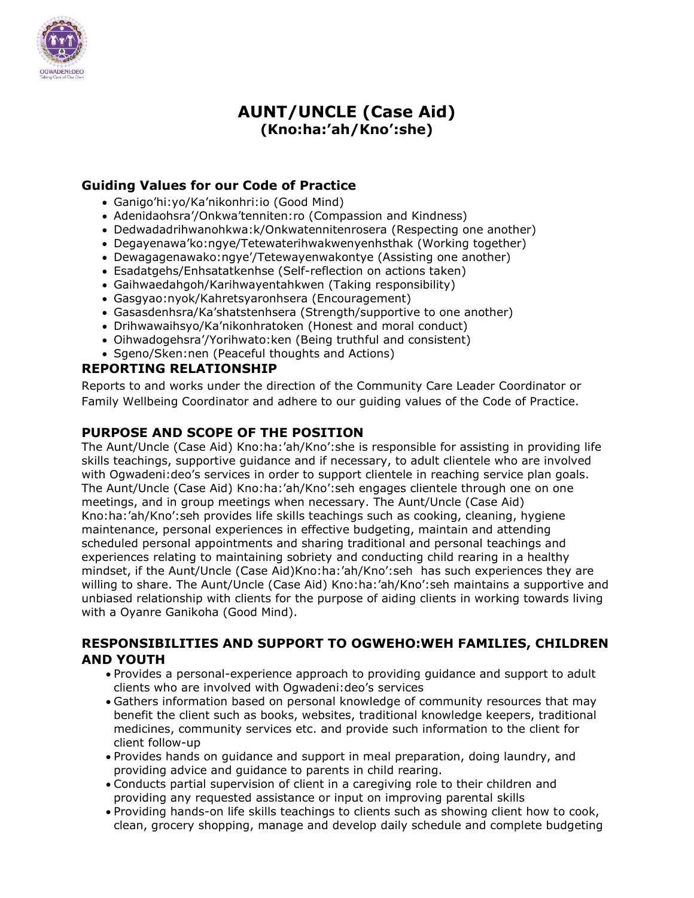

# **AUNT/UNCLE (Case Aid) (Kno:ha:'ah/Kno':she)**

# **Guiding Values for our Code of Practice**

- Ganigo'hi:yo/Ka'nikonhri:io (Good Mind)
- Adenidaohsra'/Onkwa'tenniten:ro (Compassion and Kindness)
- Dedwadadrihwanohkwa:k/Onkwatennitenrosera (Respecting one another)
- Degayenawa'ko:ngye/Tetewaterihwakwenyenhsthak (Working together)
- Dewagagenawako:ngye'/Tetewayenwakontye (Assisting one another)
- Esadatgehs/Enhsatatkenhse (Self-reflection on actions taken)
- Gaihwaedahgoh/Karihwayentahkwen (Taking responsibility)
- Gasgyao:nyok/Kahretsyaronhsera (Encouragement)
- Gasasdenhsra/Ka'shatstenhsera (Strength/supportive to one another)
- Drihwawaihsyo/Ka'nikonhratoken (Honest and moral conduct)
- Oihwadogehsra'/Yorihwato:ken (Being truthful and consistent)
- Sgeno/Sken:nen (Peaceful thoughts and Actions)

# **REPORTING RELATIONSHIP**

Reports to and works under the direction of the Community Care Leader Coordinator or Family Wellbeing Coordinator and adhere to our guiding values of the Code of Practice.

### **PURPOSE AND SCOPE OF THE POSITION**

The Aunt/Uncle (Case Aid) Kno:ha:'ah/Kno':she is responsible for assisting in providing life skills teachings, supportive guidance and if necessary, to adult clientele who are involved with Ogwadeni:deo's services in order to support clientele in reaching service plan goals. The Aunt/Uncle (Case Aid) Kno:ha:'ah/Kno':seh engages clientele through one on one meetings, and in group meetings when necessary. The Aunt/Uncle (Case Aid) Kno:ha:'ah/Kno':seh provides life skills teachings such as cooking, cleaning, hygiene maintenance, personal experiences in effective budgeting, maintain and attending scheduled personal appointments and sharing traditional and personal teachings and experiences relating to maintaining sobriety and conducting child rearing in a healthy mindset, if the Aunt/Uncle (Case Aid)Kno:ha:'ah/Kno':seh has such experiences they are willing to share. The Aunt/Uncle (Case Aid) Kno:ha:'ah/Kno':seh maintains a supportive and unbiased relationship with clients for the purpose of aiding clients in working towards living with a Oyanre Ganikoha (Good Mind).

# **RESPONSIBILITIES AND SUPPORT TO OGWEHO:WEH FAMILIES, CHILDREN AND YOUTH**

- Provides a personal-experience approach to providing guidance and support to adult clients who are involved with Ogwadeni:deo's services
- Gathers information based on personal knowledge of community resources that may benefit the client such as books, websites, traditional knowledge keepers, traditional medicines, community services etc. and provide such information to the client for client follow-up
- Provides hands on guidance and support in meal preparation, doing laundry, and providing advice and guidance to parents in child rearing.
- Conducts partial supervision of client in a caregiving role to their children and providing any requested assistance or input on improving parental skills
- Providing hands-on life skills teachings to clients such as showing client how to cook, clean, grocery shopping, manage and develop daily schedule and complete budgeting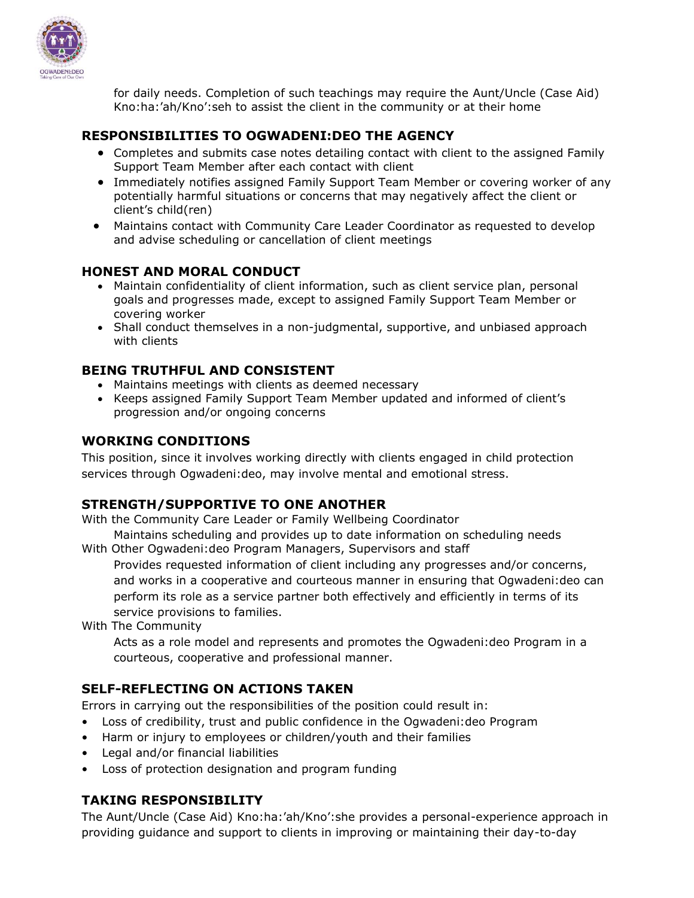

for daily needs. Completion of such teachings may require the Aunt/Uncle (Case Aid) Kno:ha:'ah/Kno':seh to assist the client in the community or at their home

### **RESPONSIBILITIES TO OGWADENI:DEO THE AGENCY**

- Completes and submits case notes detailing contact with client to the assigned Family Support Team Member after each contact with client
- Immediately notifies assigned Family Support Team Member or covering worker of any potentially harmful situations or concerns that may negatively affect the client or client's child(ren)
- Maintains contact with Community Care Leader Coordinator as requested to develop and advise scheduling or cancellation of client meetings

### **HONEST AND MORAL CONDUCT**

- Maintain confidentiality of client information, such as client service plan, personal goals and progresses made, except to assigned Family Support Team Member or covering worker
- Shall conduct themselves in a non-judgmental, supportive, and unbiased approach with clients

### **BEING TRUTHFUL AND CONSISTENT**

- Maintains meetings with clients as deemed necessary
- Keeps assigned Family Support Team Member updated and informed of client's progression and/or ongoing concerns

### **WORKING CONDITIONS**

This position, since it involves working directly with clients engaged in child protection services through Ogwadeni:deo, may involve mental and emotional stress.

### **STRENGTH/SUPPORTIVE TO ONE ANOTHER**

With the Community Care Leader or Family Wellbeing Coordinator

Maintains scheduling and provides up to date information on scheduling needs With Other Ogwadeni:deo Program Managers, Supervisors and staff

Provides requested information of client including any progresses and/or concerns, and works in a cooperative and courteous manner in ensuring that Ogwadeni:deo can perform its role as a service partner both effectively and efficiently in terms of its service provisions to families.

With The Community

Acts as a role model and represents and promotes the Ogwadeni:deo Program in a courteous, cooperative and professional manner.

### **SELF-REFLECTING ON ACTIONS TAKEN**

Errors in carrying out the responsibilities of the position could result in:

- Loss of credibility, trust and public confidence in the Ogwadeni:deo Program
- Harm or injury to employees or children/youth and their families
- Legal and/or financial liabilities
- Loss of protection designation and program funding

# **TAKING RESPONSIBILITY**

The Aunt/Uncle (Case Aid) Kno:ha:'ah/Kno':she provides a personal-experience approach in providing guidance and support to clients in improving or maintaining their day-to-day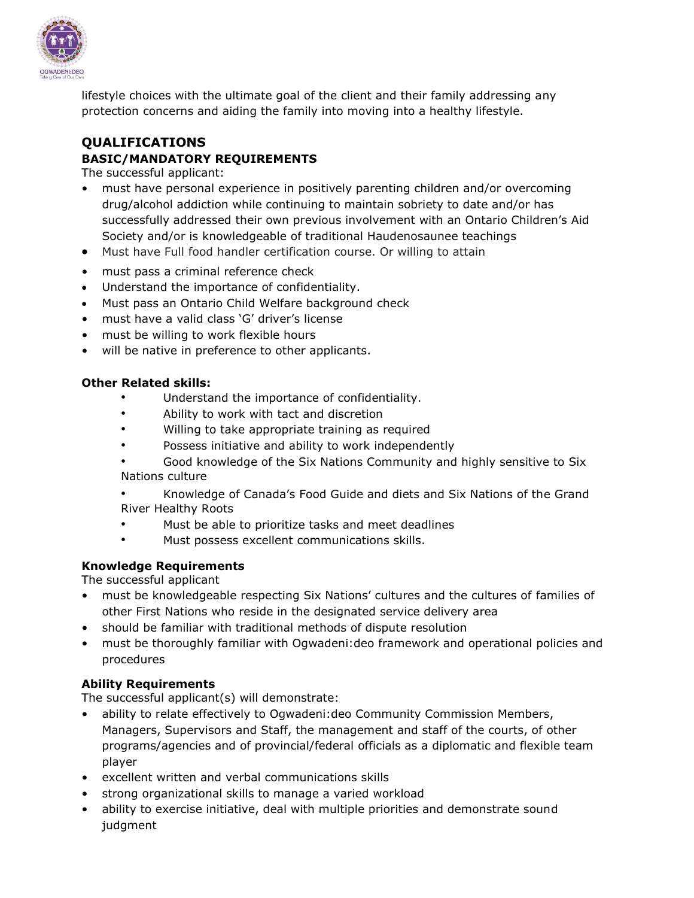

lifestyle choices with the ultimate goal of the client and their family addressing any protection concerns and aiding the family into moving into a healthy lifestyle.

# **QUALIFICATIONS BASIC/MANDATORY REQUIREMENTS**

The successful applicant:

- must have personal experience in positively parenting children and/or overcoming drug/alcohol addiction while continuing to maintain sobriety to date and/or has successfully addressed their own previous involvement with an Ontario Children's Aid Society and/or is knowledgeable of traditional Haudenosaunee teachings
- Must have Full food handler certification course. Or willing to attain
- must pass a criminal reference check
- Understand the importance of confidentiality.
- Must pass an Ontario Child Welfare background check
- must have a valid class 'G' driver's license
- must be willing to work flexible hours
- will be native in preference to other applicants.

#### **Other Related skills:**

- Understand the importance of confidentiality.
- Ability to work with tact and discretion
- Willing to take appropriate training as required
- Possess initiative and ability to work independently
- Good knowledge of the Six Nations Community and highly sensitive to Six Nations culture
- Knowledge of Canada's Food Guide and diets and Six Nations of the Grand River Healthy Roots
- Must be able to prioritize tasks and meet deadlines
- Must possess excellent communications skills.

### **Knowledge Requirements**

The successful applicant

- must be knowledgeable respecting Six Nations' cultures and the cultures of families of other First Nations who reside in the designated service delivery area
- should be familiar with traditional methods of dispute resolution
- must be thoroughly familiar with Ogwadeni:deo framework and operational policies and procedures

### **Ability Requirements**

The successful applicant(s) will demonstrate:

- ability to relate effectively to Ogwadeni:deo Community Commission Members, Managers, Supervisors and Staff, the management and staff of the courts, of other programs/agencies and of provincial/federal officials as a diplomatic and flexible team player
- excellent written and verbal communications skills
- strong organizational skills to manage a varied workload
- ability to exercise initiative, deal with multiple priorities and demonstrate sound judgment